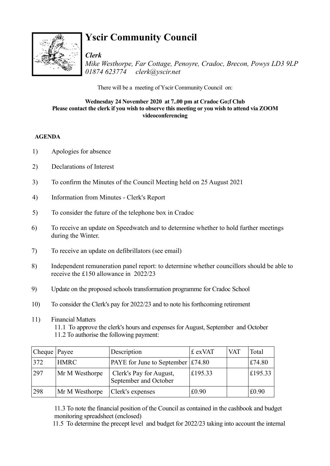

# **Yscir Community Council**

#### *Clerk*

*Mike Westhorpe, Far Cottage, Penoyre, Cradoc, Brecon, Powys LD3 9LP 01874 623774 clerk@yscir.net*

There will be a meeting of Yscir Community Council on:

#### **Wednesday 24 November 2020 at 7..00 pm at Cradoc Go;f Club Please contact the clerk if you wish to observe this meeting or you wish to attend via ZOOM videoconferencing**

#### **AGENDA**

- 1) Apologies for absence
- 2) Declarations of Interest
- 3) To confirm the Minutes of the Council Meeting held on 25 August 2021
- 4) Information from Minutes Clerk's Report
- 5) To consider the future of the telephone box in Cradoc
- 6) To receive an update on Speedwatch and to determine whether to hold further meetings during the Winter.
- 7) To receive an update on defibrillators (see email)
- 8) Independent remuneration panel report: to determine whether councillors should be able to receive the £150 allowance in 2022/23
- 9) Update on the proposed schools transformation programme for Cradoc School
- 10) To consider the Clerk's pay for 2022/23 and to note his forthcoming retirement
- 11) Financial Matters
	- 11.1 To approve the clerk's hours and expenses for August, September and October 11.2 To authorise the following payment:

| $ $ Cheque $ $ Payee |                | Description                                      | £ exVAT | <b>VAT</b> | Total   |
|----------------------|----------------|--------------------------------------------------|---------|------------|---------|
| 372                  | <b>HMRC</b>    | PAYE for June to September $\vert$ £74.80        |         |            | £74.80  |
| 297                  | Mr M Westhorpe | Clerk's Pay for August,<br>September and October | £195.33 |            | £195.33 |
| 298                  | Mr M Westhorpe | Clerk's expenses                                 | £0.90   |            | £0.90   |

11.3 To note the financial position of the Council as contained in the cashbook and budget monitoring spreadsheet (enclosed)

11.5 To determine the precept level and budget for 2022/23 taking into account the internal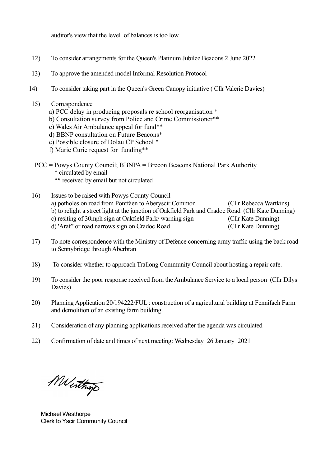auditor's view that the level of balances is too low.

- 12) To consider arrangements for the Queen's Platinum Jubilee Beacons 2 June 2022
- 13) To approve the amended model Informal Resolution Protocol
- 14) To consider taking part in the Queen's Green Canopy initiative ( Cllr Valerie Davies)
- 15) Correspondence
	- a) PCC delay in producing proposals re school reorganisation \*
	- b) Consultation survey from Police and Crime Commissioner\*\*
	- c) Wales Air Ambulance appeal for fund\*\*
	- d) BBNP consultation on Future Beacons\*
	- e) Possible closure of Dolau CP School \*
	- f) Marie Curie request for funding\*\*
- PCC = Powys County Council; BBNPA = Brecon Beacons National Park Authority \* circulated by email \*\* received by email but not circulated
- 16) Issues to be raised with Powys County Council a) potholes on road from Pontfaen to Aberyscir Common (Cllr Rebecca Wartkins) b) to relight a street light at the junction of Oakfield Park and Cradoc Road (Cllr Kate Dunning) c) resiting of 30mph sign at Oakfield Park/ warning sign (Cllr Kate Dunning) d) 'Araf" or road narrows sign on Cradoc Road (Cllr Kate Dunning)
- 17) To note correspondence with the Ministry of Defence concerning army traffic using the back road to Sennybridge through Aberbran
- 18) To consider whether to approach Trallong Community Council about hosting a repair cafe.
- 19) To consider the poor response received from the Ambulance Service to a local person (Cllr Dilys Davies)
- 20) Planning Application 20/194222/FUL : construction of a agricultural building at Fennifach Farm and demolition of an existing farm building.
- 21) Consideration of any planning applications received after the agenda was circulated
- 22) Confirmation of date and times of next meeting: Wednesday 26 January 2021

Menthings

 Michael Westhorpe Clerk to Yscir Community Council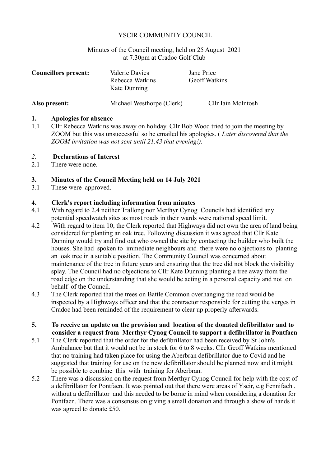#### YSCIR COMMUNITY COUNCIL

Minutes of the Council meeting, held on 25 August 2021 at 7.30pm at Cradoc Golf Club

| <b>Councillors present:</b> | <b>Valerie Davies</b><br>Rebecca Watkins<br>Kate Dunning | Jane Price<br><b>Geoff Watkins</b> |  |  |
|-----------------------------|----------------------------------------------------------|------------------------------------|--|--|
| Also present:               | Michael Westhorpe (Clerk)                                | Cllr Iain McIntosh                 |  |  |

#### **1. Apologies for absence**

1.1 Cllr Rebecca Watkins was away on holiday. Cllr Bob Wood tried to join the meeting by ZOOM but this was unsuccessful so he emailed his apologies. ( *Later discovered that the ZOOM invitation was not sent until 21.43 that evening!).* 

#### *2.* **Declarations of Interest**

2.1 There were none.

#### **3. Minutes of the Council Meeting held on 14 July 2021**

3.1 These were approved.

#### **4. Clerk's report including information from minutes**

- 4.1 With regard to 2.4 neither Trallong nor Merthyr Cynog Councils had identified any potential speedwatch sites as most roads in their wards were national speed limit.
- 4.2 With regard to item 10, the Clerk reported that Highways did not own the area of land being considered for planting an oak tree. Following discussion it was agreed that Cllr Kate Dunning would try and find out who owned the site by contacting the builder who built the houses. She had spoken to immediate neighbours and there were no objections to planting an oak tree in a suitable position. The Community Council was concerned about maintenance of the tree in future years and ensuring that the tree did not block the visibility splay. The Council had no objections to Cllr Kate Dunning planting a tree away from the road edge on the understanding that she would be acting in a personal capacity and not on behalf of the Council.
- 4.3 The Clerk reported that the trees on Battle Common overhanging the road would be inspected by a Highways officer and that the contractor responsible for cutting the verges in Cradoc had been reminded of the requirement to clear up properly afterwards.
- **5. To receive an update on the provision and location of the donated defibrillator and to consider a request from Merthyr Cynog Council to support a defibrillator in Pontfaen**
- 5.1 The Clerk reported that the order for the defibrillator had been received by St John's Ambulance but that it would not be in stock for 6 to 8 weeks. Cllr Geoff Watkins mentioned that no training had taken place for using the Aberbran defibrillator due to Covid and he suggested that training for use on the new defibrillator should be planned now and it might be possible to combine this with training for Aberbran.
- 5.2 There was a discussion on the request from Merthyr Cynog Council for help with the cost of a defibrillator for Pontfaen. It was pointed out that there were areas of Yscir, e.g Fennifach , without a defibrillator and this needed to be borne in mind when considering a donation for Pontfaen. There was a consensus on giving a small donation and through a show of hands it was agreed to donate £50.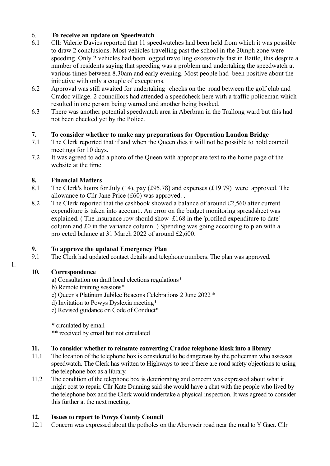### 6. **To receive an update on Speedwatch**

- 6.1 Cllr Valerie Davies reported that 11 speedwatches had been held from which it was possible to draw 2 conclusions. Most vehicles travelling past the school in the 20mph zone were speeding. Only 2 vehicles had been logged travelling excessively fast in Battle, this despite a number of residents saying that speeding was a problem and undertaking the speedwatch at various times between 8.30am and early evening. Most people had been positive about the initiative with only a couple of exceptions.
- 6.2 Approval was still awaited for undertaking checks on the road between the golf club and Cradoc village. 2 councillors had attended a speedcheck here with a traffic policeman which resulted in one person being warned and another being booked.
- 6.3 There was another potential speedwatch area in Aberbran in the Trallong ward but this had not been checked yet by the Police.

#### **7. To consider whether to make any preparations for Operation London Bridge**

- 7.1 The Clerk reported that if and when the Queen dies it will not be possible to hold council meetings for 10 days.
- 7.2 It was agreed to add a photo of the Queen with appropriate text to the home page of the website at the time.

### **8. Financial Matters**

- 8.1 The Clerk's hours for July (14), pay (£95.78) and expenses (£19.79) were approved. The allowance to Cllr Jane Price (£60) was approved. .
- 8.2 The Clerk reported that the cashbook showed a balance of around £2,560 after current expenditure is taken into account.. An error on the budget monitoring spreadsheet was explained. ( The insurance row should show £168 in the 'profiled expenditure to date' column and £0 in the variance column. ) Spending was going according to plan with a projected balance at 31 March 2022 of around £2,600.

#### **9. To approve the updated Emergency Plan**

9.1 The Clerk had updated contact details and telephone numbers. The plan was approved.

### **10. Correspondence**

1.

- a) Consultation on draft local elections regulations\*
- b) Remote training sessions\*
- c) Queen's Platinum Jubilee Beacons Celebrations 2 June 2022 \*
- d) Invitation to Powys Dyslexia meeting\*
- e) Revised guidance on Code of Conduct\*

\* circulated by email

\*\* received by email but not circulated

### **11. To consider whether to reinstate converting Cradoc telephone kiosk into a library**

- 11.1 The location of the telephone box is considered to be dangerous by the policeman who assesses speedwatch. The Clerk has written to Highways to see if there are road safety objections to using the telephone box as a library.
- 11.2 The condition of the telephone box is deteriorating and concern was expressed about what it might cost to repair. Cllr Kate Dunning said she would have a chat with the people who lived by the telephone box and the Clerk would undertake a physical inspection. It was agreed to consider this further at the next meeting.

### **12. Issues to report to Powys County Council**

12.1 Concern was expressed about the potholes on the Aberyscir road near the road to Y Gaer. Cllr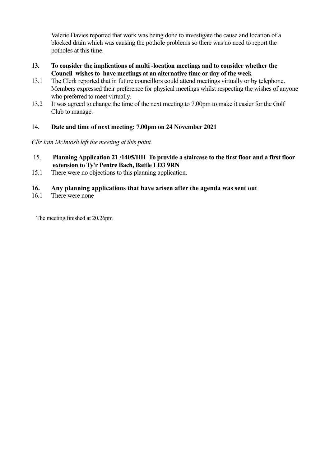Valerie Davies reported that work was being done to investigate the cause and location of a blocked drain which was causing the pothole problems so there was no need to report the potholes at this time.

- **13. To consider the implications of multi -location meetings and to consider whether the Council wishes to have meetings at an alternative time or day of the week**
- 13.1 The Clerk reported that in future councillors could attend meetings virtually or by telephone. Members expressed their preference for physical meetings whilst respecting the wishes of anyone who preferred to meet virtually.
- 13.2 It was agreed to change the time of the next meeting to 7.00pm to make it easier for the Golf Club to manage.

#### 14. **Date and time of next meeting: 7.00pm on 24 November 2021**

*Cllr Iain McIntosh left the meeting at this point.*

- 15. **Planning Application 21 /1405/HH To provide a staircase to the first floor and a first floor extension to Ty'r Pentre Bach, Battle LD3 9RN**
- 15.1 There were no objections to this planning application.

#### **16. Any planning applications that have arisen after the agenda was sent out**

16.1 There were none

The meeting finished at 20.26pm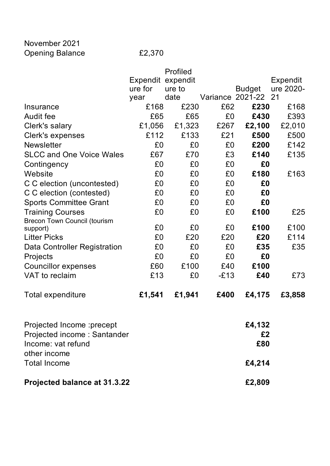November 2021 Opening Balance E2,370

|                                                   |                   | Profiled |                         |               |           |  |
|---------------------------------------------------|-------------------|----------|-------------------------|---------------|-----------|--|
|                                                   | Expendit expendit |          |                         |               | Expendit  |  |
|                                                   | ure for           | ure to   |                         | <b>Budget</b> | ure 2020- |  |
|                                                   | year              | date     | <b>Variance 2021-22</b> |               | 21        |  |
| Insurance                                         | £168              | £230     | £62                     | £230          | £168      |  |
| <b>Audit fee</b>                                  | £65               | £65      | £0<br>£430              |               | £393      |  |
| Clerk's salary                                    | £1,056            | £1,323   | £267                    | £2,100        | £2,010    |  |
| Clerk's expenses                                  | £112              | £133     | £21                     | £500          | £500      |  |
| <b>Newsletter</b>                                 | £0                | £0       | £0                      | £200          | £142      |  |
| <b>SLCC and One Voice Wales</b>                   | £67               | £70      | £3                      | £140          | £135      |  |
| Contingency                                       | £0                | £0       | £0                      | £0            |           |  |
| Website                                           | £0                | £0       | £0                      | £180          | £163      |  |
| C C election (uncontested)                        | £0                | £0       | £0                      | £0            |           |  |
| C C election (contested)                          | £0                | £0       | £0                      | £0            |           |  |
| <b>Sports Committee Grant</b>                     | £0                | £0       | £0                      | £0            |           |  |
| <b>Training Courses</b>                           | £0                | £0       | £0                      | £100          | £25       |  |
| <b>Brecon Town Council (tourism</b>               |                   |          |                         |               |           |  |
| support)                                          | £0                | £0       | £0                      | £100          | £100      |  |
| <b>Litter Picks</b>                               | £0                | £20      | £20                     | £20           | £114      |  |
| Data Controller Registration                      | £0                | £0       | £0                      | £35           | £35       |  |
| Projects                                          | £0                | £0       | £0                      | £0            |           |  |
| <b>Councillor expenses</b>                        | £60               | £100     | £40                     | £100          |           |  |
| VAT to reclaim                                    | £13               | £0       | $-E13$                  | £40           | £73       |  |
| Total expenditure                                 | £1,541            | £1,941   | £400                    | £4,175        | £3,858    |  |
| Projected Income : precept                        |                   |          |                         | £4,132        |           |  |
| Projected income: Santander<br>Income: vat refund |                   |          |                         | £2<br>£80     |           |  |
| other income<br><b>Total Income</b>               |                   |          |                         | £4,214        |           |  |
| Projected balance at 31.3.22                      |                   |          |                         | £2,809        |           |  |